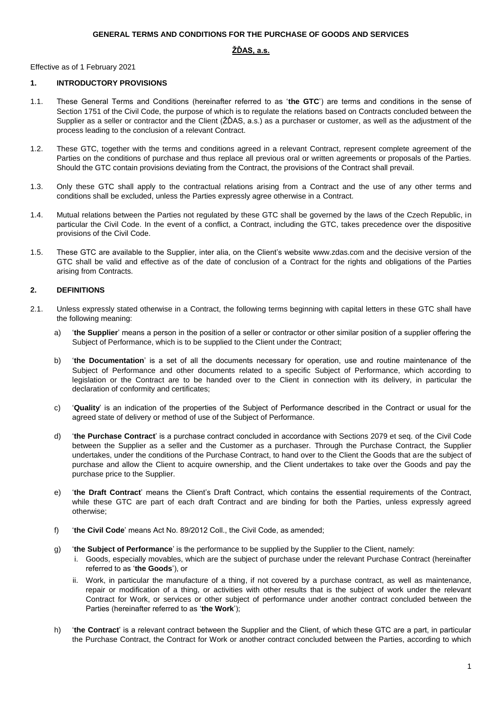#### **GENERAL TERMS AND CONDITIONS FOR THE PURCHASE OF GOODS AND SERVICES**

# **ŽĎAS, a.s.**

Effective as of 1 February 2021

#### **1. INTRODUCTORY PROVISIONS**

- 1.1. These General Terms and Conditions (hereinafter referred to as '**the GTC**') are terms and conditions in the sense of Section 1751 of the Civil Code, the purpose of which is to regulate the relations based on Contracts concluded between the Supplier as a seller or contractor and the Client (ŽĎAS, a.s.) as a purchaser or customer, as well as the adjustment of the process leading to the conclusion of a relevant Contract.
- 1.2. These GTC, together with the terms and conditions agreed in a relevant Contract, represent complete agreement of the Parties on the conditions of purchase and thus replace all previous oral or written agreements or proposals of the Parties. Should the GTC contain provisions deviating from the Contract, the provisions of the Contract shall prevail.
- 1.3. Only these GTC shall apply to the contractual relations arising from a Contract and the use of any other terms and conditions shall be excluded, unless the Parties expressly agree otherwise in a Contract.
- 1.4. Mutual relations between the Parties not regulated by these GTC shall be governed by the laws of the Czech Republic, in particular the Civil Code. In the event of a conflict, a Contract, including the GTC, takes precedence over the dispositive provisions of the Civil Code.
- 1.5. These GTC are available to the Supplier, inter alia, on the Client's website www.zdas.com and the decisive version of the GTC shall be valid and effective as of the date of conclusion of a Contract for the rights and obligations of the Parties arising from Contracts.

# **2. DEFINITIONS**

- 2.1. Unless expressly stated otherwise in a Contract, the following terms beginning with capital letters in these GTC shall have the following meaning:
	- a) '**the Supplier**' means a person in the position of a seller or contractor or other similar position of a supplier offering the Subject of Performance, which is to be supplied to the Client under the Contract;
	- b) '**the Documentation**' is a set of all the documents necessary for operation, use and routine maintenance of the Subject of Performance and other documents related to a specific Subject of Performance, which according to legislation or the Contract are to be handed over to the Client in connection with its delivery, in particular the declaration of conformity and certificates;
	- c) '**Quality**' is an indication of the properties of the Subject of Performance described in the Contract or usual for the agreed state of delivery or method of use of the Subject of Performance.
	- d) '**the Purchase Contract**' is a purchase contract concluded in accordance with Sections 2079 et seq. of the Civil Code between the Supplier as a seller and the Customer as a purchaser. Through the Purchase Contract, the Supplier undertakes, under the conditions of the Purchase Contract, to hand over to the Client the Goods that are the subject of purchase and allow the Client to acquire ownership, and the Client undertakes to take over the Goods and pay the purchase price to the Supplier.
	- e) '**the Draft Contract**' means the Client's Draft Contract, which contains the essential requirements of the Contract, while these GTC are part of each draft Contract and are binding for both the Parties, unless expressly agreed otherwise;
	- f) '**the Civil Code**' means Act No. 89/2012 Coll., the Civil Code, as amended;
	- g) '**the Subject of Performance**' is the performance to be supplied by the Supplier to the Client, namely:
		- i. Goods, especially movables, which are the subject of purchase under the relevant Purchase Contract (hereinafter referred to as '**the Goods**'), or
		- ii. Work, in particular the manufacture of a thing, if not covered by a purchase contract, as well as maintenance, repair or modification of a thing, or activities with other results that is the subject of work under the relevant Contract for Work, or services or other subject of performance under another contract concluded between the Parties (hereinafter referred to as '**the Work**');
	- h) '**the Contract**' is a relevant contract between the Supplier and the Client, of which these GTC are a part, in particular the Purchase Contract, the Contract for Work or another contract concluded between the Parties, according to which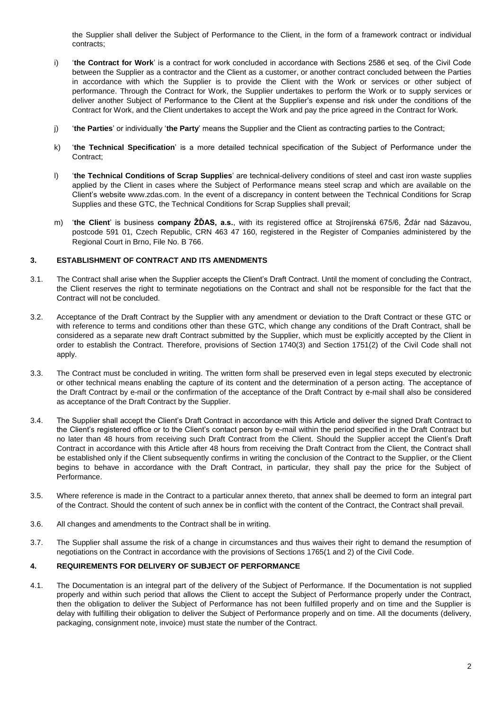the Supplier shall deliver the Subject of Performance to the Client, in the form of a framework contract or individual contracts;

- i) '**the Contract for Work**' is a contract for work concluded in accordance with Sections 2586 et seq. of the Civil Code between the Supplier as a contractor and the Client as a customer, or another contract concluded between the Parties in accordance with which the Supplier is to provide the Client with the Work or services or other subject of performance. Through the Contract for Work, the Supplier undertakes to perform the Work or to supply services or deliver another Subject of Performance to the Client at the Supplier's expense and risk under the conditions of the Contract for Work, and the Client undertakes to accept the Work and pay the price agreed in the Contract for Work.
- j) '**the Parties**' or individually '**the Party**' means the Supplier and the Client as contracting parties to the Contract;
- k) '**the Technical Specification**' is a more detailed technical specification of the Subject of Performance under the Contract;
- l) '**the Technical Conditions of Scrap Supplies**' are technical-delivery conditions of steel and cast iron waste supplies applied by the Client in cases where the Subject of Performance means steel scrap and which are available on the Client's website www.zdas.com. In the event of a discrepancy in content between the Technical Conditions for Scrap Supplies and these GTC, the Technical Conditions for Scrap Supplies shall prevail;
- m) '**the Client**' is business **company ŽĎAS, a.s.**, with its registered office at Strojírenská 675/6, Žďár nad Sázavou, postcode 591 01, Czech Republic, CRN 463 47 160, registered in the Register of Companies administered by the Regional Court in Brno, File No. B 766.

#### **3. ESTABLISHMENT OF CONTRACT AND ITS AMENDMENTS**

- 3.1. The Contract shall arise when the Supplier accepts the Client's Draft Contract. Until the moment of concluding the Contract, the Client reserves the right to terminate negotiations on the Contract and shall not be responsible for the fact that the Contract will not be concluded.
- 3.2. Acceptance of the Draft Contract by the Supplier with any amendment or deviation to the Draft Contract or these GTC or with reference to terms and conditions other than these GTC, which change any conditions of the Draft Contract, shall be considered as a separate new draft Contract submitted by the Supplier, which must be explicitly accepted by the Client in order to establish the Contract. Therefore, provisions of Section 1740(3) and Section 1751(2) of the Civil Code shall not apply.
- 3.3. The Contract must be concluded in writing. The written form shall be preserved even in legal steps executed by electronic or other technical means enabling the capture of its content and the determination of a person acting. The acceptance of the Draft Contract by e-mail or the confirmation of the acceptance of the Draft Contract by e-mail shall also be considered as acceptance of the Draft Contract by the Supplier.
- 3.4. The Supplier shall accept the Client's Draft Contract in accordance with this Article and deliver the signed Draft Contract to the Client's registered office or to the Client's contact person by e-mail within the period specified in the Draft Contract but no later than 48 hours from receiving such Draft Contract from the Client. Should the Supplier accept the Client's Draft Contract in accordance with this Article after 48 hours from receiving the Draft Contract from the Client, the Contract shall be established only if the Client subsequently confirms in writing the conclusion of the Contract to the Supplier, or the Client begins to behave in accordance with the Draft Contract, in particular, they shall pay the price for the Subject of Performance.
- 3.5. Where reference is made in the Contract to a particular annex thereto, that annex shall be deemed to form an integral part of the Contract. Should the content of such annex be in conflict with the content of the Contract, the Contract shall prevail.
- 3.6. All changes and amendments to the Contract shall be in writing.
- 3.7. The Supplier shall assume the risk of a change in circumstances and thus waives their right to demand the resumption of negotiations on the Contract in accordance with the provisions of Sections 1765(1 and 2) of the Civil Code.

# **4. REQUIREMENTS FOR DELIVERY OF SUBJECT OF PERFORMANCE**

4.1. The Documentation is an integral part of the delivery of the Subject of Performance. If the Documentation is not supplied properly and within such period that allows the Client to accept the Subject of Performance properly under the Contract, then the obligation to deliver the Subject of Performance has not been fulfilled properly and on time and the Supplier is delay with fulfilling their obligation to deliver the Subject of Performance properly and on time. All the documents (delivery, packaging, consignment note, invoice) must state the number of the Contract.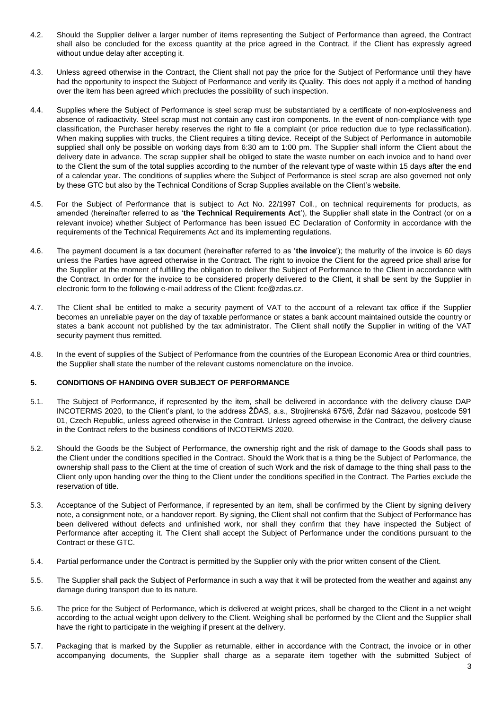- 4.2. Should the Supplier deliver a larger number of items representing the Subject of Performance than agreed, the Contract shall also be concluded for the excess quantity at the price agreed in the Contract, if the Client has expressly agreed without undue delay after accepting it.
- 4.3. Unless agreed otherwise in the Contract, the Client shall not pay the price for the Subject of Performance until they have had the opportunity to inspect the Subject of Performance and verify its Quality. This does not apply if a method of handing over the item has been agreed which precludes the possibility of such inspection.
- 4.4. Supplies where the Subject of Performance is steel scrap must be substantiated by a certificate of non-explosiveness and absence of radioactivity. Steel scrap must not contain any cast iron components. In the event of non-compliance with type classification, the Purchaser hereby reserves the right to file a complaint (or price reduction due to type reclassification). When making supplies with trucks, the Client requires a tilting device. Receipt of the Subject of Performance in automobile supplied shall only be possible on working days from 6:30 am to 1:00 pm. The Supplier shall inform the Client about the delivery date in advance. The scrap supplier shall be obliged to state the waste number on each invoice and to hand over to the Client the sum of the total supplies according to the number of the relevant type of waste within 15 days after the end of a calendar year. The conditions of supplies where the Subject of Performance is steel scrap are also governed not only by these GTC but also by the Technical Conditions of Scrap Supplies available on the Client's website.
- 4.5. For the Subject of Performance that is subject to Act No. 22/1997 Coll., on technical requirements for products, as amended (hereinafter referred to as '**the Technical Requirements Act**'), the Supplier shall state in the Contract (or on a relevant invoice) whether Subject of Performance has been issued EC Declaration of Conformity in accordance with the requirements of the Technical Requirements Act and its implementing regulations.
- 4.6. The payment document is a tax document (hereinafter referred to as '**the invoice**'); the maturity of the invoice is 60 days unless the Parties have agreed otherwise in the Contract. The right to invoice the Client for the agreed price shall arise for the Supplier at the moment of fulfilling the obligation to deliver the Subject of Performance to the Client in accordance with the Contract. In order for the invoice to be considered properly delivered to the Client, it shall be sent by the Supplier in electronic form to the following e-mail address of the Client: fce@zdas.cz.
- 4.7. The Client shall be entitled to make a security payment of VAT to the account of a relevant tax office if the Supplier becomes an unreliable payer on the day of taxable performance or states a bank account maintained outside the country or states a bank account not published by the tax administrator. The Client shall notify the Supplier in writing of the VAT security payment thus remitted.
- 4.8. In the event of supplies of the Subject of Performance from the countries of the European Economic Area or third countries, the Supplier shall state the number of the relevant customs nomenclature on the invoice.

# **5. CONDITIONS OF HANDING OVER SUBJECT OF PERFORMANCE**

- 5.1. The Subject of Performance, if represented by the item, shall be delivered in accordance with the delivery clause DAP INCOTERMS 2020, to the Client's plant, to the address ŽĎAS, a.s., Strojírenská 675/6, Žďár nad Sázavou, postcode 591 01, Czech Republic, unless agreed otherwise in the Contract. Unless agreed otherwise in the Contract, the delivery clause in the Contract refers to the business conditions of INCOTERMS 2020.
- 5.2. Should the Goods be the Subject of Performance, the ownership right and the risk of damage to the Goods shall pass to the Client under the conditions specified in the Contract. Should the Work that is a thing be the Subject of Performance, the ownership shall pass to the Client at the time of creation of such Work and the risk of damage to the thing shall pass to the Client only upon handing over the thing to the Client under the conditions specified in the Contract. The Parties exclude the reservation of title.
- 5.3. Acceptance of the Subject of Performance, if represented by an item, shall be confirmed by the Client by signing delivery note, a consignment note, or a handover report. By signing, the Client shall not confirm that the Subject of Performance has been delivered without defects and unfinished work, nor shall they confirm that they have inspected the Subject of Performance after accepting it. The Client shall accept the Subject of Performance under the conditions pursuant to the Contract or these GTC.
- 5.4. Partial performance under the Contract is permitted by the Supplier only with the prior written consent of the Client.
- 5.5. The Supplier shall pack the Subject of Performance in such a way that it will be protected from the weather and against any damage during transport due to its nature.
- 5.6. The price for the Subject of Performance, which is delivered at weight prices, shall be charged to the Client in a net weight according to the actual weight upon delivery to the Client. Weighing shall be performed by the Client and the Supplier shall have the right to participate in the weighing if present at the delivery.
- 5.7. Packaging that is marked by the Supplier as returnable, either in accordance with the Contract, the invoice or in other accompanying documents, the Supplier shall charge as a separate item together with the submitted Subject of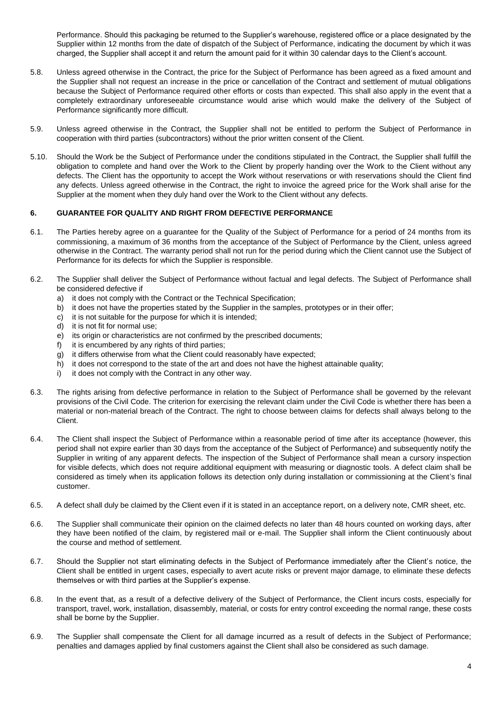Performance. Should this packaging be returned to the Supplier's warehouse, registered office or a place designated by the Supplier within 12 months from the date of dispatch of the Subject of Performance, indicating the document by which it was charged, the Supplier shall accept it and return the amount paid for it within 30 calendar days to the Client's account.

- 5.8. Unless agreed otherwise in the Contract, the price for the Subject of Performance has been agreed as a fixed amount and the Supplier shall not request an increase in the price or cancellation of the Contract and settlement of mutual obligations because the Subject of Performance required other efforts or costs than expected. This shall also apply in the event that a completely extraordinary unforeseeable circumstance would arise which would make the delivery of the Subject of Performance significantly more difficult.
- 5.9. Unless agreed otherwise in the Contract, the Supplier shall not be entitled to perform the Subject of Performance in cooperation with third parties (subcontractors) without the prior written consent of the Client.
- 5.10. Should the Work be the Subject of Performance under the conditions stipulated in the Contract, the Supplier shall fulfill the obligation to complete and hand over the Work to the Client by properly handing over the Work to the Client without any defects. The Client has the opportunity to accept the Work without reservations or with reservations should the Client find any defects. Unless agreed otherwise in the Contract, the right to invoice the agreed price for the Work shall arise for the Supplier at the moment when they duly hand over the Work to the Client without any defects.

#### **6. GUARANTEE FOR QUALITY AND RIGHT FROM DEFECTIVE PERFORMANCE**

- 6.1. The Parties hereby agree on a guarantee for the Quality of the Subject of Performance for a period of 24 months from its commissioning, a maximum of 36 months from the acceptance of the Subject of Performance by the Client, unless agreed otherwise in the Contract. The warranty period shall not run for the period during which the Client cannot use the Subject of Performance for its defects for which the Supplier is responsible.
- 6.2. The Supplier shall deliver the Subject of Performance without factual and legal defects. The Subject of Performance shall be considered defective if
	- a) it does not comply with the Contract or the Technical Specification;
	- b) it does not have the properties stated by the Supplier in the samples, prototypes or in their offer;
	- c) it is not suitable for the purpose for which it is intended;
	- d) it is not fit for normal use;
	- e) its origin or characteristics are not confirmed by the prescribed documents;
	- f) it is encumbered by any rights of third parties;
	- g) it differs otherwise from what the Client could reasonably have expected;
	- h) it does not correspond to the state of the art and does not have the highest attainable quality;
	- i) it does not comply with the Contract in any other way.
- 6.3. The rights arising from defective performance in relation to the Subject of Performance shall be governed by the relevant provisions of the Civil Code. The criterion for exercising the relevant claim under the Civil Code is whether there has been a material or non-material breach of the Contract. The right to choose between claims for defects shall always belong to the Client.
- 6.4. The Client shall inspect the Subject of Performance within a reasonable period of time after its acceptance (however, this period shall not expire earlier than 30 days from the acceptance of the Subject of Performance) and subsequently notify the Supplier in writing of any apparent defects. The inspection of the Subject of Performance shall mean a cursory inspection for visible defects, which does not require additional equipment with measuring or diagnostic tools. A defect claim shall be considered as timely when its application follows its detection only during installation or commissioning at the Client's final customer.
- 6.5. A defect shall duly be claimed by the Client even if it is stated in an acceptance report, on a delivery note, CMR sheet, etc.
- 6.6. The Supplier shall communicate their opinion on the claimed defects no later than 48 hours counted on working days, after they have been notified of the claim, by registered mail or e-mail. The Supplier shall inform the Client continuously about the course and method of settlement.
- 6.7. Should the Supplier not start eliminating defects in the Subject of Performance immediately after the Client's notice, the Client shall be entitled in urgent cases, especially to avert acute risks or prevent major damage, to eliminate these defects themselves or with third parties at the Supplier's expense.
- 6.8. In the event that, as a result of a defective delivery of the Subject of Performance, the Client incurs costs, especially for transport, travel, work, installation, disassembly, material, or costs for entry control exceeding the normal range, these costs shall be borne by the Supplier.
- 6.9. The Supplier shall compensate the Client for all damage incurred as a result of defects in the Subject of Performance; penalties and damages applied by final customers against the Client shall also be considered as such damage.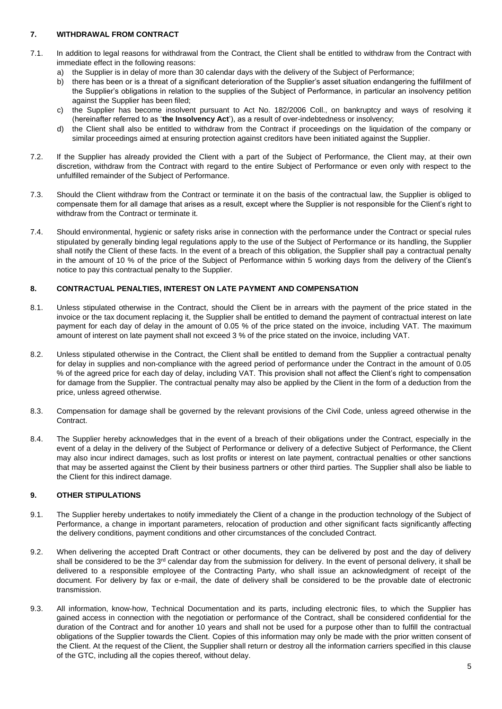# **7. WITHDRAWAL FROM CONTRACT**

- 7.1. In addition to legal reasons for withdrawal from the Contract, the Client shall be entitled to withdraw from the Contract with immediate effect in the following reasons:
	- a) the Supplier is in delay of more than 30 calendar days with the delivery of the Subject of Performance;
	- b) there has been or is a threat of a significant deterioration of the Supplier's asset situation endangering the fulfillment of the Supplier's obligations in relation to the supplies of the Subject of Performance, in particular an insolvency petition against the Supplier has been filed;
	- c) the Supplier has become insolvent pursuant to Act No. 182/2006 Coll., on bankruptcy and ways of resolving it (hereinafter referred to as '**the Insolvency Act**'), as a result of over-indebtedness or insolvency;
	- d) the Client shall also be entitled to withdraw from the Contract if proceedings on the liquidation of the company or similar proceedings aimed at ensuring protection against creditors have been initiated against the Supplier.
- 7.2. If the Supplier has already provided the Client with a part of the Subject of Performance, the Client may, at their own discretion, withdraw from the Contract with regard to the entire Subject of Performance or even only with respect to the unfulfilled remainder of the Subject of Performance.
- 7.3. Should the Client withdraw from the Contract or terminate it on the basis of the contractual law, the Supplier is obliged to compensate them for all damage that arises as a result, except where the Supplier is not responsible for the Client's right to withdraw from the Contract or terminate it.
- 7.4. Should environmental, hygienic or safety risks arise in connection with the performance under the Contract or special rules stipulated by generally binding legal regulations apply to the use of the Subject of Performance or its handling, the Supplier shall notify the Client of these facts. In the event of a breach of this obligation, the Supplier shall pay a contractual penalty in the amount of 10 % of the price of the Subject of Performance within 5 working days from the delivery of the Client's notice to pay this contractual penalty to the Supplier.

# **8. CONTRACTUAL PENALTIES, INTEREST ON LATE PAYMENT AND COMPENSATION**

- 8.1. Unless stipulated otherwise in the Contract, should the Client be in arrears with the payment of the price stated in the invoice or the tax document replacing it, the Supplier shall be entitled to demand the payment of contractual interest on late payment for each day of delay in the amount of 0.05 % of the price stated on the invoice, including VAT. The maximum amount of interest on late payment shall not exceed 3 % of the price stated on the invoice, including VAT.
- 8.2. Unless stipulated otherwise in the Contract, the Client shall be entitled to demand from the Supplier a contractual penalty for delay in supplies and non-compliance with the agreed period of performance under the Contract in the amount of 0.05 % of the agreed price for each day of delay, including VAT. This provision shall not affect the Client's right to compensation for damage from the Supplier. The contractual penalty may also be applied by the Client in the form of a deduction from the price, unless agreed otherwise.
- 8.3. Compensation for damage shall be governed by the relevant provisions of the Civil Code, unless agreed otherwise in the Contract.
- 8.4. The Supplier hereby acknowledges that in the event of a breach of their obligations under the Contract, especially in the event of a delay in the delivery of the Subject of Performance or delivery of a defective Subject of Performance, the Client may also incur indirect damages, such as lost profits or interest on late payment, contractual penalties or other sanctions that may be asserted against the Client by their business partners or other third parties. The Supplier shall also be liable to the Client for this indirect damage.

# **9. OTHER STIPULATIONS**

- 9.1. The Supplier hereby undertakes to notify immediately the Client of a change in the production technology of the Subject of Performance, a change in important parameters, relocation of production and other significant facts significantly affecting the delivery conditions, payment conditions and other circumstances of the concluded Contract.
- 9.2. When delivering the accepted Draft Contract or other documents, they can be delivered by post and the day of delivery shall be considered to be the 3<sup>rd</sup> calendar day from the submission for delivery. In the event of personal delivery, it shall be delivered to a responsible employee of the Contracting Party, who shall issue an acknowledgment of receipt of the document. For delivery by fax or e-mail, the date of delivery shall be considered to be the provable date of electronic transmission.
- 9.3. All information, know-how, Technical Documentation and its parts, including electronic files, to which the Supplier has gained access in connection with the negotiation or performance of the Contract, shall be considered confidential for the duration of the Contract and for another 10 years and shall not be used for a purpose other than to fulfill the contractual obligations of the Supplier towards the Client. Copies of this information may only be made with the prior written consent of the Client. At the request of the Client, the Supplier shall return or destroy all the information carriers specified in this clause of the GTC, including all the copies thereof, without delay.